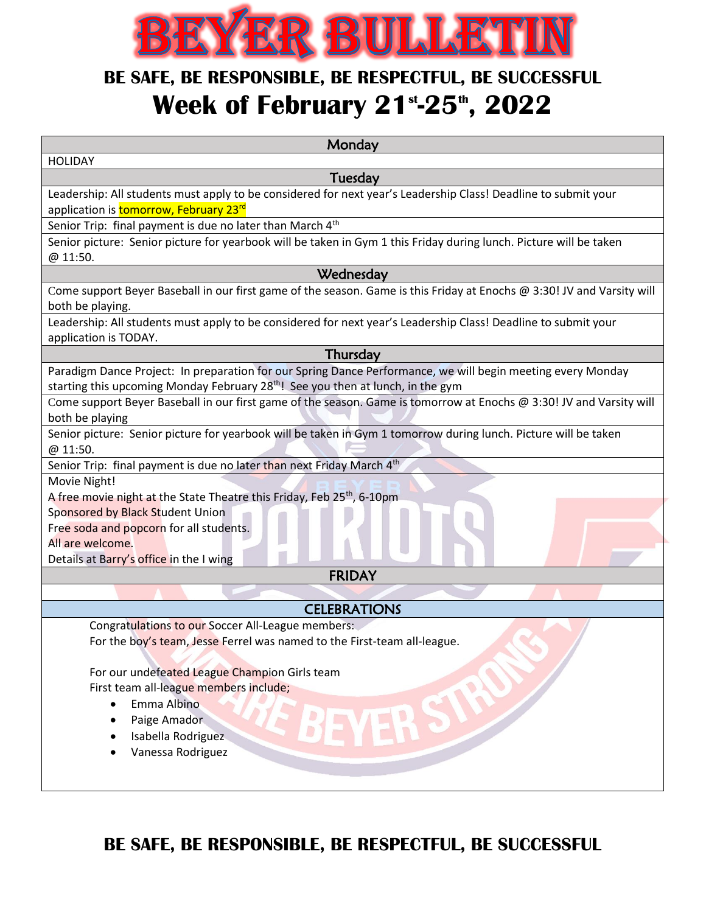

## **BE SAFE, BE RESPONSIBLE, BE RESPECTFUL, BE SUCCESSFUL Week of February 21st -25th , 2022**

| Monday                                                                                                                                                                                                     |
|------------------------------------------------------------------------------------------------------------------------------------------------------------------------------------------------------------|
| <b>HOLIDAY</b>                                                                                                                                                                                             |
| Tuesday                                                                                                                                                                                                    |
| Leadership: All students must apply to be considered for next year's Leadership Class! Deadline to submit your                                                                                             |
| application is tomorrow, February 23rd                                                                                                                                                                     |
| Senior Trip: final payment is due no later than March 4 <sup>th</sup>                                                                                                                                      |
| Senior picture: Senior picture for yearbook will be taken in Gym 1 this Friday during lunch. Picture will be taken                                                                                         |
| @ 11:50.                                                                                                                                                                                                   |
| Wednesday                                                                                                                                                                                                  |
| Come support Beyer Baseball in our first game of the season. Game is this Friday at Enochs @ 3:30! JV and Varsity will                                                                                     |
| both be playing.                                                                                                                                                                                           |
| Leadership: All students must apply to be considered for next year's Leadership Class! Deadline to submit your                                                                                             |
| application is TODAY.                                                                                                                                                                                      |
| Thursday                                                                                                                                                                                                   |
| Paradigm Dance Project: In preparation for our Spring Dance Performance, we will begin meeting every Monday<br>starting this upcoming Monday February 28 <sup>th</sup> ! See you then at lunch, in the gym |
| Come support Beyer Baseball in our first game of the season. Game is tomorrow at Enochs @ 3:30! JV and Varsity will                                                                                        |
| both be playing                                                                                                                                                                                            |
| Senior picture: Senior picture for yearbook will be taken in Gym 1 tomorrow during lunch. Picture will be taken                                                                                            |
| @ 11:50.                                                                                                                                                                                                   |
| Senior Trip: final payment is due no later than next Friday March 4 <sup>th</sup>                                                                                                                          |
| Movie Night!                                                                                                                                                                                               |
| A free movie night at the State Theatre this Friday, Feb 25 <sup>th</sup> , 6-10pm                                                                                                                         |
| Sponsored by Black Student Union                                                                                                                                                                           |
| Free soda and popcorn for all students.                                                                                                                                                                    |
| All are welcome.                                                                                                                                                                                           |
| Details at Barry's office in the I wing                                                                                                                                                                    |
| <b>FRIDAY</b>                                                                                                                                                                                              |
|                                                                                                                                                                                                            |
| <b>CELEBRATIONS</b>                                                                                                                                                                                        |
| Congratulations to our Soccer All-League members:                                                                                                                                                          |
| For the boy's team, Jesse Ferrel was named to the First-team all-league.                                                                                                                                   |
|                                                                                                                                                                                                            |
| For our undefeated League Champion Girls team                                                                                                                                                              |
| First team all-league members include;<br>Emma Albino                                                                                                                                                      |
| $\bullet$                                                                                                                                                                                                  |
| Paige Amador                                                                                                                                                                                               |
| Isabella Rodriguez<br>Vanessa Rodriguez                                                                                                                                                                    |
|                                                                                                                                                                                                            |
|                                                                                                                                                                                                            |
|                                                                                                                                                                                                            |

**BE SAFE, BE RESPONSIBLE, BE RESPECTFUL, BE SUCCESSFUL**